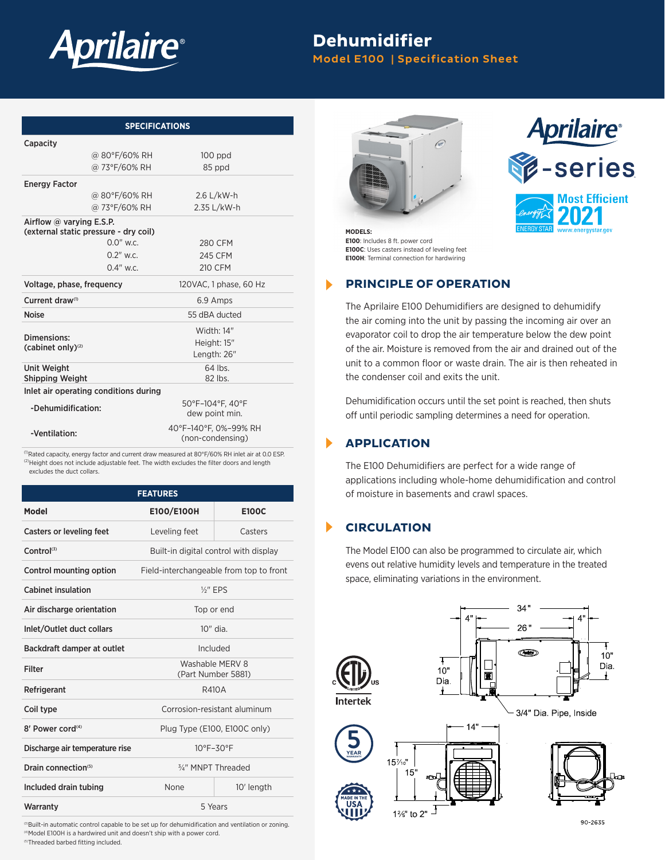

# **Dehumidifier**

Model E100 | Specification Sheet

| <b>SPECIFICATIONS</b>                                                    |                                       |                                           |  |  |
|--------------------------------------------------------------------------|---------------------------------------|-------------------------------------------|--|--|
| Capacity                                                                 |                                       |                                           |  |  |
|                                                                          | @ 80°F/60% RH                         | $100$ ppd                                 |  |  |
|                                                                          | @ 73°F/60% RH                         | 85 ppd                                    |  |  |
| <b>Energy Factor</b>                                                     |                                       |                                           |  |  |
|                                                                          | @ 80°F/60% RH                         | $2.6$ L/kW-h                              |  |  |
|                                                                          | @ 73°F/60% RH                         | 2.35 L/kW-h                               |  |  |
| Airflow $\omega$ varying E.S.P.<br>(external static pressure - dry coil) |                                       |                                           |  |  |
|                                                                          | $0.0"$ w.c.                           | 280 CFM                                   |  |  |
|                                                                          | $0.2"$ w.c.                           | <b>245 CFM</b>                            |  |  |
|                                                                          | $0.4"$ w.c.                           | 210 CFM                                   |  |  |
| Voltage, phase, frequency                                                |                                       | 120VAC, 1 phase, 60 Hz                    |  |  |
| Current draw <sup>(1)</sup>                                              |                                       | 6.9 Amps                                  |  |  |
| <b>Noise</b>                                                             |                                       | 55 dBA ducted                             |  |  |
|                                                                          |                                       | Width: 14"                                |  |  |
| Dimensions:<br>(cabinet only) <sup>(2)</sup>                             |                                       | Height: 15"                               |  |  |
|                                                                          |                                       | Length: 26"                               |  |  |
| <b>Unit Weight</b><br><b>Shipping Weight</b>                             |                                       | $64$ lbs.<br>82 lbs.                      |  |  |
|                                                                          | Inlet air operating conditions during |                                           |  |  |
| -Dehumidification:                                                       |                                       | 50°F-104°F. 40°F                          |  |  |
|                                                                          |                                       | dew point min.                            |  |  |
| -Ventilation:                                                            |                                       | 40°F-140°F, 0%-99% RH<br>(non-condensing) |  |  |

<sup>(1)</sup>Rated capacity, energy factor and current draw measured at 80°F/60% RH inlet air at 0.0 ESP.  $^{(2)}$ Height does not include adjustable feet. The width excludes the filter doors and length excludes the duct collars.

| <b>FEATURES</b>                 |                                         |              |  |  |  |
|---------------------------------|-----------------------------------------|--------------|--|--|--|
| Model                           | E100/E100H                              | <b>E100C</b> |  |  |  |
| <b>Casters or leveling feet</b> | Leveling feet                           | Casters      |  |  |  |
| $Control^{(3)}$                 | Built-in digital control with display   |              |  |  |  |
| Control mounting option         | Field-interchangeable from top to front |              |  |  |  |
| <b>Cabinet insulation</b>       | $\frac{1}{2}$ " FPS                     |              |  |  |  |
| Air discharge orientation       | Top or end                              |              |  |  |  |
| Inlet/Outlet duct collars       | 10" dia.                                |              |  |  |  |
| Backdraft damper at outlet      | Included                                |              |  |  |  |
| Filter                          | Washable MFRV 8<br>(Part Number 5881)   |              |  |  |  |
| Refrigerant                     | <b>R410A</b>                            |              |  |  |  |
| Coil type                       | Corrosion-resistant aluminum            |              |  |  |  |
| 8' Power cord <sup>(4)</sup>    | Plug Type (E100, E100C only)            |              |  |  |  |
| Discharge air temperature rise  | $10^{\circ}$ F-30 $^{\circ}$ F          |              |  |  |  |
| Drain connection <sup>(5)</sup> | 3/4" MNPT Threaded                      |              |  |  |  |
| Included drain tubing           | None                                    | 10' length   |  |  |  |
| Warranty                        | 5 Years                                 |              |  |  |  |

(3)Built-in automatic control capable to be set up for dehumidification and ventilation or zoning. (4)Model E100H is a hardwired unit and doesn't ship with a power cord. (5)Threaded barbed fitting included.





**MODELS: E100**: Includes 8 ft. power cord **E100C**: Uses casters instead of leveling feet **E100H**: Terminal connection for hardwiring

ь

ь

▶

### **PRINCIPLE OF OPERATION**

The Aprilaire E100 Dehumidifiers are designed to dehumidify the air coming into the unit by passing the incoming air over an evaporator coil to drop the air temperature below the dew point of the air. Moisture is removed from the air and drained out of the unit to a common floor or waste drain. The air is then reheated in the condenser coil and exits the unit.

Dehumidification occurs until the set point is reached, then shuts off until periodic sampling determines a need for operation.

#### **APPLICATION**

The E100 Dehumidifiers are perfect for a wide range of applications including whole-home dehumidification and control of moisture in basements and crawl spaces.

#### **CIRCULATION**

The Model E100 can also be programmed to circulate air, which evens out relative humidity levels and temperature in the treated space, eliminating variations in the environment.